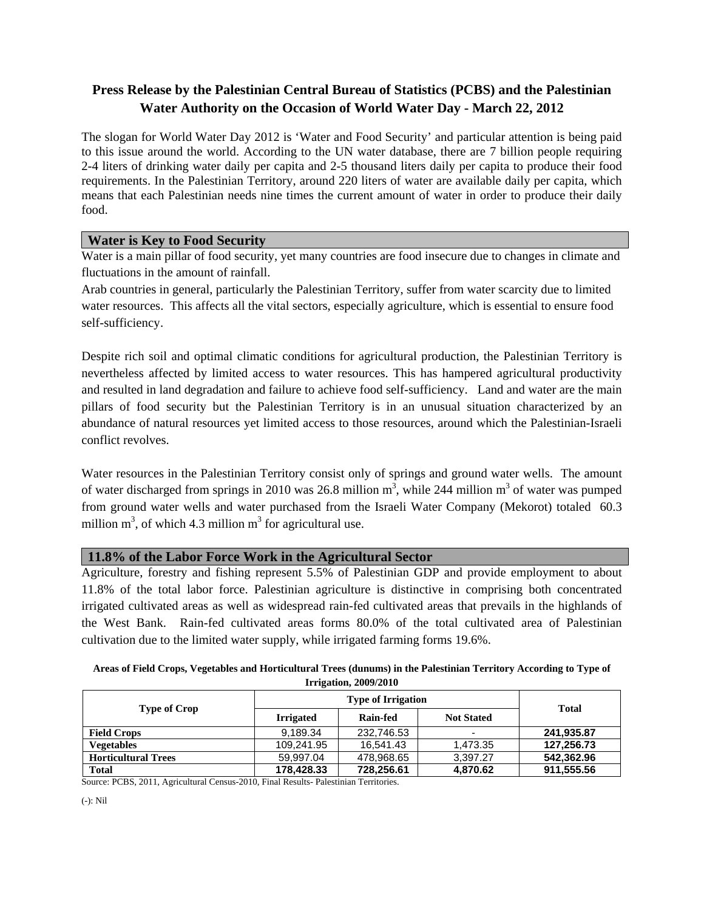# **Press Release by the Palestinian Central Bureau of Statistics (PCBS) and the Palestinian Water Authority on the Occasion of World Water Day - March 22, 2012**

The slogan for World Water Day 2012 is 'Water and Food Security' and particular attention is being paid to this issue around the world. According to the UN water database, there are 7 billion people requiring 2-4 liters of drinking water daily per capita and 2-5 thousand liters daily per capita to produce their food requirements. In the Palestinian Territory, around 220 liters of water are available daily per capita, which means that each Palestinian needs nine times the current amount of water in order to produce their daily food.

## **Water is Key to Food Security**

Water is a main pillar of food security, yet many countries are food insecure due to changes in climate and fluctuations in the amount of rainfall.

Arab countries in general, particularly the Palestinian Territory, suffer from water scarcity due to limited water resources. This affects all the vital sectors, especially agriculture, which is essential to ensure food self-sufficiency.

Despite rich soil and optimal climatic conditions for agricultural production, the Palestinian Territory is nevertheless affected by limited access to water resources. This has hampered agricultural productivity and resulted in land degradation and failure to achieve food self-sufficiency. Land and water are the main pillars of food security but the Palestinian Territory is in an unusual situation characterized by an abundance of natural resources yet limited access to those resources, around which the Palestinian-Israeli conflict revolves.

Water resources in the Palestinian Territory consist only of springs and ground water wells. The amount of water discharged from springs in 2010 was 26.8 million  $m^3$ , while 244 million  $m^3$  of water was pumped from ground water wells and water purchased from the Israeli Water Company (Mekorot) totaled 60.3 million  $m^3$ , of which 4.3 million  $m^3$  for agricultural use.

#### **11.8% of the Labor Force Work in the Agricultural Sector**

Agriculture, forestry and fishing represent 5.5% of Palestinian GDP and provide employment to about 11.8% of the total labor force. Palestinian agriculture is distinctive in comprising both concentrated irrigated cultivated areas as well as widespread rain-fed cultivated areas that prevails in the highlands of the West Bank. Rain-fed cultivated areas forms 80.0% of the total cultivated area of Palestinian cultivation due to the limited water supply, while irrigated farming forms 19.6%.

**Areas of Field Crops, Vegetables and Horticultural Trees (dunums) in the Palestinian Territory According to Type of Irrigation, 2009/2010**

| <b>Type of Crop</b>        | <b>Type of Irrigation</b> |            |                   | <b>Total</b> |
|----------------------------|---------------------------|------------|-------------------|--------------|
|                            | <b>Irrigated</b>          | Rain-fed   | <b>Not Stated</b> |              |
| <b>Field Crops</b>         | 9,189.34                  | 232,746.53 | $\blacksquare$    | 241,935.87   |
| Vegetables                 | 109,241.95                | 16.541.43  | 1,473.35          | 127,256.73   |
| <b>Horticultural Trees</b> | 59.997.04                 | 478,968.65 | 3,397.27          | 542,362.96   |
| <b>Total</b>               | 178,428.33                | 728,256.61 | 4,870.62          | 911,555.56   |

Source: PCBS, 2011, Agricultural Census-2010, Final Results- Palestinian Territories.